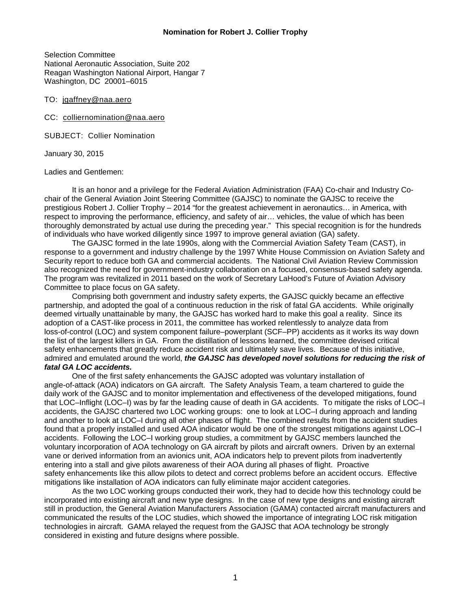Selection Committee National Aeronautic Association, Suite 202 Reagan Washington National Airport, Hangar 7 Washington, DC 20001–6015

TO: jgaffney@naa.aero

CC: colliernomination@naa.aero

SUBJECT: Collier Nomination

January 30, 2015

#### Ladies and Gentlemen:

It is an honor and a privilege for the Federal Aviation Administration (FAA) Co-chair and Industry Cochair of the General Aviation Joint Steering Committee (GAJSC) to nominate the GAJSC to receive the prestigious Robert J. Collier Trophy – 2014 "for the greatest achievement in aeronautics… in America, with respect to improving the performance, efficiency, and safety of air… vehicles, the value of which has been thoroughly demonstrated by actual use during the preceding year." This special recognition is for the hundreds of individuals who have worked diligently since 1997 to improve general aviation (GA) safety.

The GAJSC formed in the late 1990s, along with the Commercial Aviation Safety Team (CAST), in response to a government and industry challenge by the 1997 White House Commission on Aviation Safety and Security report to reduce both GA and commercial accidents. The National Civil Aviation Review Commission also recognized the need for government-industry collaboration on a focused, consensus-based safety agenda. The program was revitalized in 2011 based on the work of Secretary LaHood's Future of Aviation Advisory Committee to place focus on GA safety.

Comprising both government and industry safety experts, the GAJSC quickly became an effective partnership, and adopted the goal of a continuous reduction in the risk of fatal GA accidents. While originally deemed virtually unattainable by many, the GAJSC has worked hard to make this goal a reality. Since its adoption of a CAST-like process in 2011, the committee has worked relentlessly to analyze data from loss-of-control (LOC) and system component failure–powerplant (SCF–PP) accidents as it works its way down the list of the largest killers in GA. From the distillation of lessons learned, the committee devised critical safety enhancements that greatly reduce accident risk and ultimately save lives. Because of this initiative, admired and emulated around the world, *the GAJSC has developed novel solutions for reducing the risk of fatal GA LOC accidents.*

One of the first safety enhancements the GAJSC adopted was voluntary installation of angle-of-attack (AOA) indicators on GA aircraft. The Safety Analysis Team, a team chartered to guide the daily work of the GAJSC and to monitor implementation and effectiveness of the developed mitigations, found that LOC–Inflight (LOC–I) was by far the leading cause of death in GA accidents. To mitigate the risks of LOC–I accidents, the GAJSC chartered two LOC working groups: one to look at LOC–I during approach and landing and another to look at LOC–I during all other phases of flight. The combined results from the accident studies found that a properly installed and used AOA indicator would be one of the strongest mitigations against LOC–I accidents. Following the LOC–I working group studies, a commitment by GAJSC members launched the voluntary incorporation of AOA technology on GA aircraft by pilots and aircraft owners. Driven by an external vane or derived information from an avionics unit, AOA indicators help to prevent pilots from inadvertently entering into a stall and give pilots awareness of their AOA during all phases of flight. Proactive safety enhancements like this allow pilots to detect and correct problems before an accident occurs. Effective mitigations like installation of AOA indicators can fully eliminate major accident categories.

As the two LOC working groups conducted their work, they had to decide how this technology could be incorporated into existing aircraft and new type designs. In the case of new type designs and existing aircraft still in production, the General Aviation Manufacturers Association (GAMA) contacted aircraft manufacturers and communicated the results of the LOC studies, which showed the importance of integrating LOC risk mitigation technologies in aircraft. GAMA relayed the request from the GAJSC that AOA technology be strongly considered in existing and future designs where possible.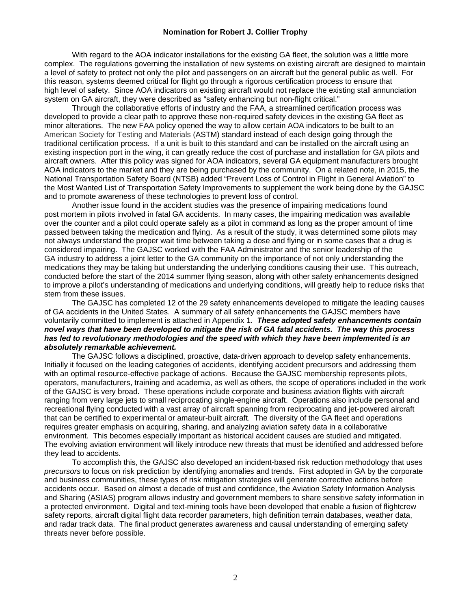#### **Nomination for Robert J. Collier Trophy**

With regard to the AOA indicator installations for the existing GA fleet, the solution was a little more complex. The regulations governing the installation of new systems on existing aircraft are designed to maintain a level of safety to protect not only the pilot and passengers on an aircraft but the general public as well. For this reason, systems deemed critical for flight go through a rigorous certification process to ensure that high level of safety. Since AOA indicators on existing aircraft would not replace the existing stall annunciation system on GA aircraft, they were described as "safety enhancing but non-flight critical."

Through the collaborative efforts of industry and the FAA, a streamlined certification process was developed to provide a clear path to approve these non-required safety devices in the existing GA fleet as minor alterations. The new FAA policy opened the way to allow certain AOA indicators to be built to an American Society for Testing and Materials (ASTM) standard instead of each design going through the traditional certification process. If a unit is built to this standard and can be installed on the aircraft using an existing inspection port in the wing, it can greatly reduce the cost of purchase and installation for GA pilots and aircraft owners. After this policy was signed for AOA indicators, several GA equipment manufacturers brought AOA indicators to the market and they are being purchased by the community. On a related note, in 2015, the National Transportation Safety Board (NTSB) added "Prevent Loss of Control in Flight in General Aviation" to the Most Wanted List of Transportation Safety Improvements to supplement the work being done by the GAJSC and to promote awareness of these technologies to prevent loss of control.

Another issue found in the accident studies was the presence of impairing medications found post mortem in pilots involved in fatal GA accidents. In many cases, the impairing medication was available over the counter and a pilot could operate safely as a pilot in command as long as the proper amount of time passed between taking the medication and flying. As a result of the study, it was determined some pilots may not always understand the proper wait time between taking a dose and flying or in some cases that a drug is considered impairing. The GAJSC worked with the FAA Administrator and the senior leadership of the GA industry to address a joint letter to the GA community on the importance of not only understanding the medications they may be taking but understanding the underlying conditions causing their use. This outreach, conducted before the start of the 2014 summer flying season, along with other safety enhancements designed to improve a pilot's understanding of medications and underlying conditions, will greatly help to reduce risks that stem from these issues.

The GAJSC has completed 12 of the 29 safety enhancements developed to mitigate the leading causes of GA accidents in the United States. A summary of all safety enhancements the GAJSC members have voluntarily committed to implement is attached in Appendix 1. *These adopted safety enhancements contain novel ways that have been developed to mitigate the risk of GA fatal accidents. The way this process has led to revolutionary methodologies and the speed with which they have been implemented is an absolutely remarkable achievement.*

The GAJSC follows a disciplined, proactive, data-driven approach to develop safety enhancements. Initially it focused on the leading categories of accidents, identifying accident precursors and addressing them with an optimal resource-effective package of actions. Because the GAJSC membership represents pilots, operators, manufacturers, training and academia, as well as others, the scope of operations included in the work of the GAJSC is very broad. These operations include corporate and business aviation flights with aircraft ranging from very large jets to small reciprocating single-engine aircraft. Operations also include personal and recreational flying conducted with a vast array of aircraft spanning from reciprocating and jet-powered aircraft that can be certified to experimental or amateur-built aircraft. The diversity of the GA fleet and operations requires greater emphasis on acquiring, sharing, and analyzing aviation safety data in a collaborative environment. This becomes especially important as historical accident causes are studied and mitigated. The evolving aviation environment will likely introduce new threats that must be identified and addressed before they lead to accidents.

To accomplish this, the GAJSC also developed an incident-based risk reduction methodology that uses *precursors* to focus on risk prediction by identifying anomalies and trends. First adopted in GA by the corporate and business communities, these types of risk mitigation strategies will generate corrective actions before accidents occur. Based on almost a decade of trust and confidence, the Aviation Safety Information Analysis and Sharing (ASIAS) program allows industry and government members to share sensitive safety information in a protected environment. Digital and text-mining tools have been developed that enable a fusion of flightcrew safety reports, aircraft digital flight data recorder parameters, high definition terrain databases, weather data, and radar track data. The final product generates awareness and causal understanding of emerging safety threats never before possible.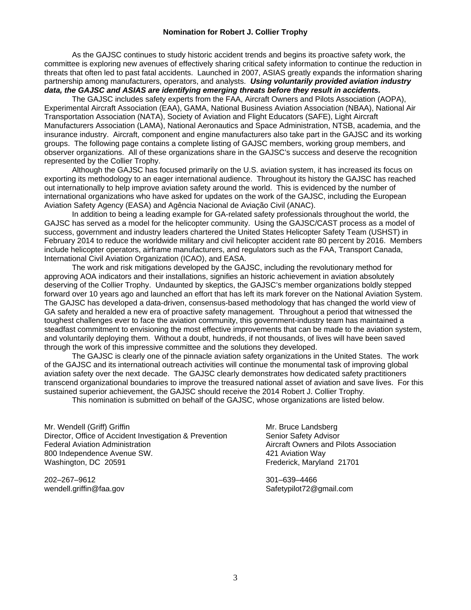#### **Nomination for Robert J. Collier Trophy**

As the GAJSC continues to study historic accident trends and begins its proactive safety work, the committee is exploring new avenues of effectively sharing critical safety information to continue the reduction in threats that often led to past fatal accidents. Launched in 2007, ASIAS greatly expands the information sharing partnership among manufacturers, operators, and analysts. *Using voluntarily provided aviation industry data, the GAJSC and ASIAS are identifying emerging threats before they result in accidents.*

The GAJSC includes safety experts from the FAA, Aircraft Owners and Pilots Association (AOPA), Experimental Aircraft Association (EAA), GAMA, National Business Aviation Association (NBAA), National Air Transportation Association (NATA), Society of Aviation and Flight Educators (SAFE), Light Aircraft Manufacturers Association (LAMA), National Aeronautics and Space Administration, NTSB, academia, and the insurance industry. Aircraft, component and engine manufacturers also take part in the GAJSC and its working groups. The following page contains a complete listing of GAJSC members, working group members, and observer organizations. All of these organizations share in the GAJSC's success and deserve the recognition represented by the Collier Trophy.

Although the GAJSC has focused primarily on the U.S. aviation system, it has increased its focus on exporting its methodology to an eager international audience. Throughout its history the GAJSC has reached out internationally to help improve aviation safety around the world. This is evidenced by the number of international organizations who have asked for updates on the work of the GAJSC, including the European Aviation Safety Agency (EASA) and Agência Nacional de Aviação Civil (ANAC).

In addition to being a leading example for GA-related safety professionals throughout the world, the GAJSC has served as a model for the helicopter community. Using the GAJSC/CAST process as a model of success, government and industry leaders chartered the United States Helicopter Safety Team (USHST) in February 2014 to reduce the worldwide military and civil helicopter accident rate 80 percent by 2016. Members include helicopter operators, airframe manufacturers, and regulators such as the FAA, Transport Canada, International Civil Aviation Organization (ICAO), and EASA.

The work and risk mitigations developed by the GAJSC, including the revolutionary method for approving AOA indicators and their installations, signifies an historic achievement in aviation absolutely deserving of the Collier Trophy. Undaunted by skeptics, the GAJSC's member organizations boldly stepped forward over 10 years ago and launched an effort that has left its mark forever on the National Aviation System. The GAJSC has developed a data-driven, consensus-based methodology that has changed the world view of GA safety and heralded a new era of proactive safety management. Throughout a period that witnessed the toughest challenges ever to face the aviation community, this government-industry team has maintained a steadfast commitment to envisioning the most effective improvements that can be made to the aviation system, and voluntarily deploying them. Without a doubt, hundreds, if not thousands, of lives will have been saved through the work of this impressive committee and the solutions they developed.

The GAJSC is clearly one of the pinnacle aviation safety organizations in the United States. The work of the GAJSC and its international outreach activities will continue the monumental task of improving global aviation safety over the next decade. The GAJSC clearly demonstrates how dedicated safety practitioners transcend organizational boundaries to improve the treasured national asset of aviation and save lives. For this sustained superior achievement, the GAJSC should receive the 2014 Robert J. Collier Trophy.

This nomination is submitted on behalf of the GAJSC, whose organizations are listed below.

Mr. Wendell (Griff) Griffin Mr. Bruce Landsberg Mr. Bruce Landsberg Director, Office of Accident Investigation & Prevention Senior Safety Advisor Federal Aviation Administration Aircraft Owners and Pilots Association 800 Independence Avenue SW. 421 Aviation Way Washington, DC 20591 **Frederick, Maryland 21701** Frederick, Maryland 21701

202–267–9612 301–639–4466

wendell.griffin@faa.gov Safetypilot72@gmail.com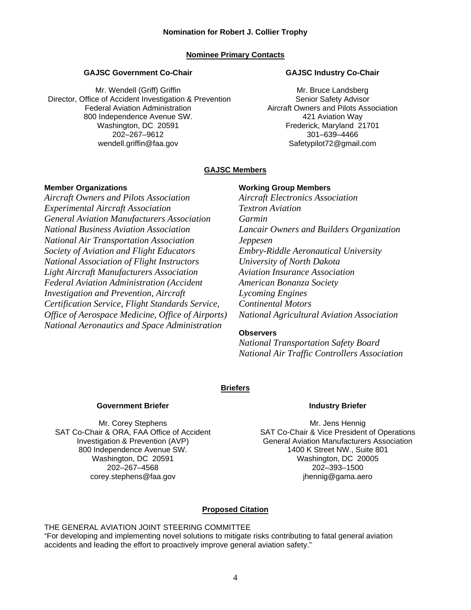#### **Nominee Primary Contacts**

#### **GAJSC Government Co-Chair**

Mr. Wendell (Griff) Griffin Director, Office of Accident Investigation & Prevention Federal Aviation Administration 800 Independence Avenue SW. Washington, DC 20591 202–267–9612 wendell.griffin@faa.gov

#### **GAJSC Industry Co-Chair**

Mr. Bruce Landsberg Senior Safety Advisor Aircraft Owners and Pilots Association 421 Aviation Way Frederick, Maryland 21701 301–639–4466 Safetypilot72@gmail.com

#### **GAJSC Members**

#### **Member Organizations**

*Aircraft Owners and Pilots Association Experimental Aircraft Association General Aviation Manufacturers Association National Business Aviation Association National Air Transportation Association Society of Aviation and Flight Educators National Association of Flight Instructors Light Aircraft Manufacturers Association Federal Aviation Administration (Accident Investigation and Prevention, Aircraft Certification Service, Flight Standards Service, Office of Aerospace Medicine, Office of Airports) National Aeronautics and Space Administration* 

#### **Working Group Members**

*Aircraft Electronics Association Textron Aviation Garmin Lancair Owners and Builders Organization Jeppesen Embry-Riddle Aeronautical University University of North Dakota Aviation Insurance Association American Bonanza Society Lycoming Engines Continental Motors National Agricultural Aviation Association* 

#### **Observers**

*National Transportation Safety Board National Air Traffic Controllers Association*

#### **Briefers**

#### **Government Briefer**

Mr. Corey Stephens SAT Co-Chair & ORA, FAA Office of Accident Investigation & Prevention (AVP) 800 Independence Avenue SW. Washington, DC 20591 202–267–4568 corey.stephens@faa.gov

#### **Industry Briefer**

Mr. Jens Hennig SAT Co-Chair & Vice President of Operations General Aviation Manufacturers Association 1400 K Street NW., Suite 801 Washington, DC 20005 202–393–1500 jhennig@gama.aero

#### **Proposed Citation**

#### THE GENERAL AVIATION JOINT STEERING COMMITTEE

"For developing and implementing novel solutions to mitigate risks contributing to fatal general aviation accidents and leading the effort to proactively improve general aviation safety."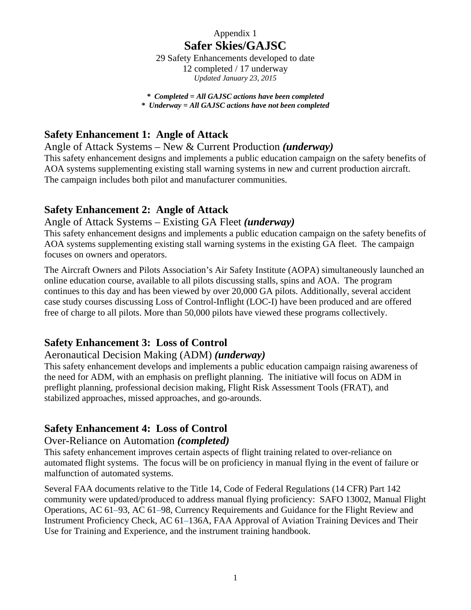# Appendix 1 **Safer Skies/GAJSC**

29 Safety Enhancements developed to date 12 completed / 17 underway *Updated January 23, 2015* 

*\* Completed = All GAJSC actions have been completed \* Underway = All GAJSC actions have not been completed*

# **Safety Enhancement 1: Angle of Attack**

Angle of Attack Systems – New & Current Production *(underway)* 

This safety enhancement designs and implements a public education campaign on the safety benefits of AOA systems supplementing existing stall warning systems in new and current production aircraft. The campaign includes both pilot and manufacturer communities.

# **Safety Enhancement 2: Angle of Attack**

## Angle of Attack Systems – Existing GA Fleet *(underway)*

This safety enhancement designs and implements a public education campaign on the safety benefits of AOA systems supplementing existing stall warning systems in the existing GA fleet. The campaign focuses on owners and operators.

The Aircraft Owners and Pilots Association's Air Safety Institute (AOPA) simultaneously launched an online education course, available to all pilots discussing stalls, spins and AOA. The program continues to this day and has been viewed by over 20,000 GA pilots. Additionally, several accident case study courses discussing Loss of Control-Inflight (LOC-I) have been produced and are offered free of charge to all pilots. More than 50,000 pilots have viewed these programs collectively.

# **Safety Enhancement 3: Loss of Control**

# Aeronautical Decision Making (ADM) *(underway)*

This safety enhancement develops and implements a public education campaign raising awareness of the need for ADM, with an emphasis on preflight planning. The initiative will focus on ADM in preflight planning, professional decision making, Flight Risk Assessment Tools (FRAT), and stabilized approaches, missed approaches, and go-arounds.

# **Safety Enhancement 4: Loss of Control**

## Over-Reliance on Automation *(completed)*

This safety enhancement improves certain aspects of flight training related to over-reliance on automated flight systems. The focus will be on proficiency in manual flying in the event of failure or malfunction of automated systems.

Several FAA documents relative to the Title 14, Code of Federal Regulations (14 CFR) Part 142 community were updated/produced to address manual flying proficiency: SAFO 13002, Manual Flight Operations, AC 61–93, AC 61–98, Currency Requirements and Guidance for the Flight Review and Instrument Proficiency Check, AC 61–136A, FAA Approval of Aviation Training Devices and Their Use for Training and Experience, and the instrument training handbook.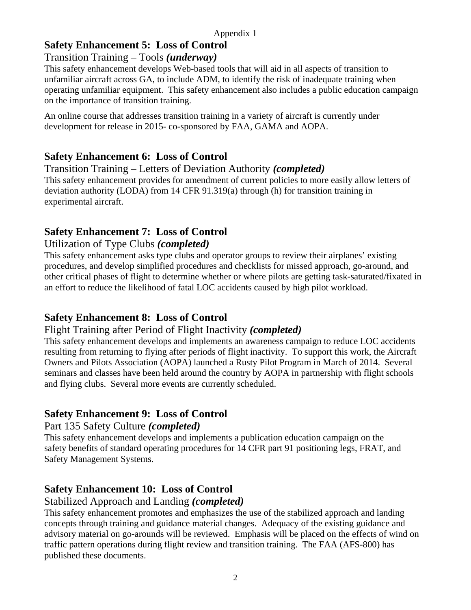# **Safety Enhancement 5: Loss of Control**

# Transition Training – Tools *(underway)*

This safety enhancement develops Web-based tools that will aid in all aspects of transition to unfamiliar aircraft across GA, to include ADM, to identify the risk of inadequate training when operating unfamiliar equipment. This safety enhancement also includes a public education campaign on the importance of transition training.

An online course that addresses transition training in a variety of aircraft is currently under development for release in 2015- co-sponsored by FAA, GAMA and AOPA.

# **Safety Enhancement 6: Loss of Control**

Transition Training – Letters of Deviation Authority *(completed)*  This safety enhancement provides for amendment of current policies to more easily allow letters of deviation authority (LODA) from 14 CFR 91.319(a) through (h) for transition training in experimental aircraft.

# **Safety Enhancement 7: Loss of Control**

## Utilization of Type Clubs *(completed)*

This safety enhancement asks type clubs and operator groups to review their airplanes' existing procedures, and develop simplified procedures and checklists for missed approach, go-around, and other critical phases of flight to determine whether or where pilots are getting task-saturated/fixated in an effort to reduce the likelihood of fatal LOC accidents caused by high pilot workload.

# **Safety Enhancement 8: Loss of Control**

# Flight Training after Period of Flight Inactivity *(completed)*

This safety enhancement develops and implements an awareness campaign to reduce LOC accidents resulting from returning to flying after periods of flight inactivity. To support this work, the Aircraft Owners and Pilots Association (AOPA) launched a Rusty Pilot Program in March of 2014. Several seminars and classes have been held around the country by AOPA in partnership with flight schools and flying clubs. Several more events are currently scheduled.

# **Safety Enhancement 9: Loss of Control**

# Part 135 Safety Culture *(completed)*

This safety enhancement develops and implements a publication education campaign on the safety benefits of standard operating procedures for 14 CFR part 91 positioning legs, FRAT, and Safety Management Systems.

# **Safety Enhancement 10: Loss of Control**

# Stabilized Approach and Landing *(completed)*

This safety enhancement promotes and emphasizes the use of the stabilized approach and landing concepts through training and guidance material changes. Adequacy of the existing guidance and advisory material on go-arounds will be reviewed. Emphasis will be placed on the effects of wind on traffic pattern operations during flight review and transition training. The FAA (AFS-800) has published these documents.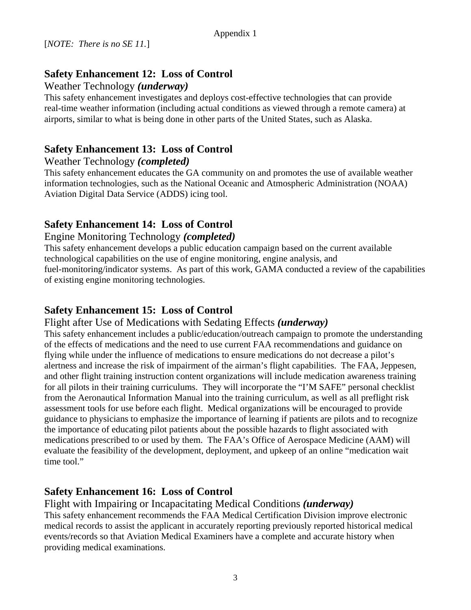# **Safety Enhancement 12: Loss of Control**

#### Weather Technology *(underway)*

This safety enhancement investigates and deploys cost-effective technologies that can provide real-time weather information (including actual conditions as viewed through a remote camera) at airports, similar to what is being done in other parts of the United States, such as Alaska.

# **Safety Enhancement 13: Loss of Control**

## Weather Technology *(completed)*

This safety enhancement educates the GA community on and promotes the use of available weather information technologies, such as the National Oceanic and Atmospheric Administration (NOAA) Aviation Digital Data Service (ADDS) icing tool.

# **Safety Enhancement 14: Loss of Control**

## Engine Monitoring Technology *(completed)*

This safety enhancement develops a public education campaign based on the current available technological capabilities on the use of engine monitoring, engine analysis, and fuel-monitoring/indicator systems. As part of this work, GAMA conducted a review of the capabilities of existing engine monitoring technologies.

# **Safety Enhancement 15: Loss of Control**

Flight after Use of Medications with Sedating Effects *(underway)*

This safety enhancement includes a public/education/outreach campaign to promote the understanding of the effects of medications and the need to use current FAA recommendations and guidance on flying while under the influence of medications to ensure medications do not decrease a pilot's alertness and increase the risk of impairment of the airman's flight capabilities. The FAA, Jeppesen, and other flight training instruction content organizations will include medication awareness training for all pilots in their training curriculums. They will incorporate the "I'M SAFE" personal checklist from the Aeronautical Information Manual into the training curriculum, as well as all preflight risk assessment tools for use before each flight. Medical organizations will be encouraged to provide guidance to physicians to emphasize the importance of learning if patients are pilots and to recognize the importance of educating pilot patients about the possible hazards to flight associated with medications prescribed to or used by them. The FAA's Office of Aerospace Medicine (AAM) will evaluate the feasibility of the development, deployment, and upkeep of an online "medication wait time tool."

# **Safety Enhancement 16: Loss of Control**

Flight with Impairing or Incapacitating Medical Conditions *(underway)* This safety enhancement recommends the FAA Medical Certification Division improve electronic medical records to assist the applicant in accurately reporting previously reported historical medical events/records so that Aviation Medical Examiners have a complete and accurate history when providing medical examinations.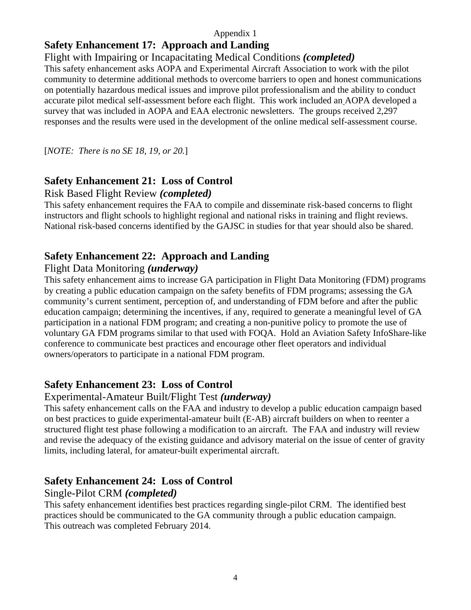#### Appendix 1

# **Safety Enhancement 17: Approach and Landing**

## Flight with Impairing or Incapacitating Medical Conditions *(completed)*

This safety enhancement asks AOPA and Experimental Aircraft Association to work with the pilot community to determine additional methods to overcome barriers to open and honest communications on potentially hazardous medical issues and improve pilot professionalism and the ability to conduct accurate pilot medical self-assessment before each flight. This work included an AOPA developed a survey that was included in AOPA and EAA electronic newsletters. The groups received 2,297 responses and the results were used in the development of the online medical self-assessment course.

[*NOTE: There is no SE 18, 19, or 20.*]

# **Safety Enhancement 21: Loss of Control**

## Risk Based Flight Review *(completed)*

This safety enhancement requires the FAA to compile and disseminate risk-based concerns to flight instructors and flight schools to highlight regional and national risks in training and flight reviews. National risk-based concerns identified by the GAJSC in studies for that year should also be shared.

# **Safety Enhancement 22: Approach and Landing**

# Flight Data Monitoring *(underway)*

This safety enhancement aims to increase GA participation in Flight Data Monitoring (FDM) programs by creating a public education campaign on the safety benefits of FDM programs; assessing the GA community's current sentiment, perception of, and understanding of FDM before and after the public education campaign; determining the incentives, if any, required to generate a meaningful level of GA participation in a national FDM program; and creating a non-punitive policy to promote the use of voluntary GA FDM programs similar to that used with FOQA. Hold an Aviation Safety InfoShare-like conference to communicate best practices and encourage other fleet operators and individual owners/operators to participate in a national FDM program.

# **Safety Enhancement 23: Loss of Control**

## Experimental-Amateur Built/Flight Test *(underway)*

This safety enhancement calls on the FAA and industry to develop a public education campaign based on best practices to guide experimental-amateur built (E-AB) aircraft builders on when to reenter a structured flight test phase following a modification to an aircraft. The FAA and industry will review and revise the adequacy of the existing guidance and advisory material on the issue of center of gravity limits, including lateral, for amateur-built experimental aircraft.

# **Safety Enhancement 24: Loss of Control**

## Single-Pilot CRM *(completed)*

This safety enhancement identifies best practices regarding single-pilot CRM. The identified best practices should be communicated to the GA community through a public education campaign. This outreach was completed February 2014.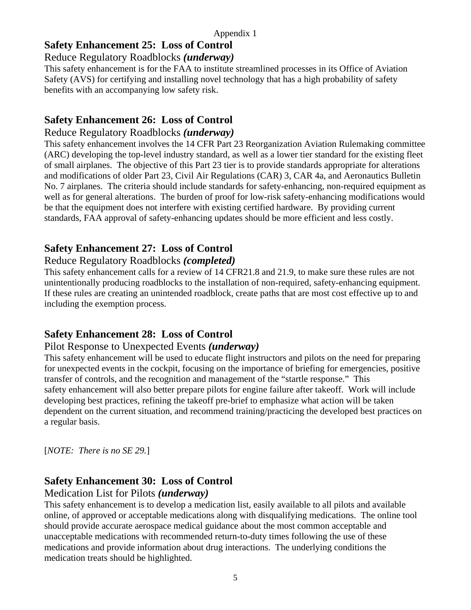# **Safety Enhancement 25: Loss of Control**

## Reduce Regulatory Roadblocks *(underway)*

This safety enhancement is for the FAA to institute streamlined processes in its Office of Aviation Safety (AVS) for certifying and installing novel technology that has a high probability of safety benefits with an accompanying low safety risk.

# **Safety Enhancement 26: Loss of Control**

## Reduce Regulatory Roadblocks *(underway)*

This safety enhancement involves the 14 CFR Part 23 Reorganization Aviation Rulemaking committee (ARC) developing the top-level industry standard, as well as a lower tier standard for the existing fleet of small airplanes. The objective of this Part 23 tier is to provide standards appropriate for alterations and modifications of older Part 23, Civil Air Regulations (CAR) 3, CAR 4a, and Aeronautics Bulletin No. 7 airplanes. The criteria should include standards for safety-enhancing, non-required equipment as well as for general alterations. The burden of proof for low-risk safety-enhancing modifications would be that the equipment does not interfere with existing certified hardware. By providing current standards, FAA approval of safety-enhancing updates should be more efficient and less costly.

# **Safety Enhancement 27: Loss of Control**

## Reduce Regulatory Roadblocks *(completed)*

This safety enhancement calls for a review of 14 CFR21.8 and 21.9, to make sure these rules are not unintentionally producing roadblocks to the installation of non-required, safety-enhancing equipment. If these rules are creating an unintended roadblock, create paths that are most cost effective up to and including the exemption process.

# **Safety Enhancement 28: Loss of Control**

## Pilot Response to Unexpected Events *(underway)*

This safety enhancement will be used to educate flight instructors and pilots on the need for preparing for unexpected events in the cockpit, focusing on the importance of briefing for emergencies, positive transfer of controls, and the recognition and management of the "startle response." This safety enhancement will also better prepare pilots for engine failure after takeoff. Work will include developing best practices, refining the takeoff pre-brief to emphasize what action will be taken dependent on the current situation, and recommend training/practicing the developed best practices on a regular basis.

[*NOTE: There is no SE 29.*]

# **Safety Enhancement 30: Loss of Control**

## Medication List for Pilots *(underway)*

This safety enhancement is to develop a medication list, easily available to all pilots and available online, of approved or acceptable medications along with disqualifying medications. The online tool should provide accurate aerospace medical guidance about the most common acceptable and unacceptable medications with recommended return-to-duty times following the use of these medications and provide information about drug interactions. The underlying conditions the medication treats should be highlighted.